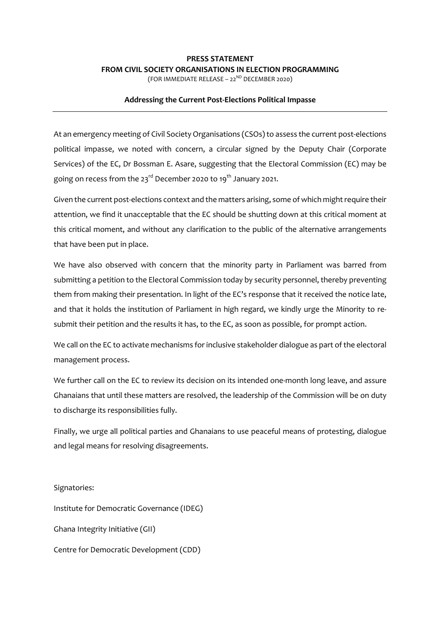## **PRESS STATEMENT FROM CIVIL SOCIETY ORGANISATIONS IN ELECTION PROGRAMMING**

(FOR IMMEDIATE RELEASE –  $22^{ND}$  DECEMBER 2020)

## **Addressing the Current Post-Elections Political Impasse**

At an emergency meeting of Civil Society Organisations (CSOs) to assess the current post-elections political impasse, we noted with concern, a circular signed by the Deputy Chair (Corporate Services) of the EC, Dr Bossman E. Asare, suggesting that the Electoral Commission (EC) may be going on recess from the  $23^{rd}$  December 2020 to  $19^{th}$  January 2021.

Given the current post-elections context and the matters arising, some of which might require their attention, we find it unacceptable that the EC should be shutting down at this critical moment at this critical moment, and without any clarification to the public of the alternative arrangements that have been put in place.

We have also observed with concern that the minority party in Parliament was barred from submitting a petition to the Electoral Commission today by security personnel, thereby preventing them from making their presentation. In light of the EC's response that it received the notice late, and that it holds the institution of Parliament in high regard, we kindly urge the Minority to resubmit their petition and the results it has, to the EC, as soon as possible, for prompt action.

We call on the EC to activate mechanisms for inclusive stakeholder dialogue as part of the electoral management process.

We further call on the EC to review its decision on its intended one-month long leave, and assure Ghanaians that until these matters are resolved, the leadership of the Commission will be on duty to discharge its responsibilities fully.

Finally, we urge all political parties and Ghanaians to use peaceful means of protesting, dialogue and legal means for resolving disagreements.

Signatories: Institute for Democratic Governance (IDEG) Ghana Integrity Initiative (GII) Centre for Democratic Development (CDD)